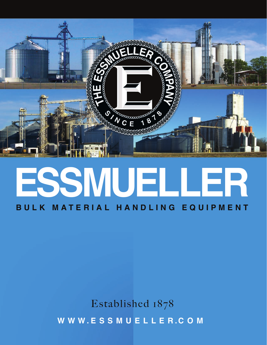

### **E SSMUELLER BULK MATERIAL HANDLING EQUIPMENT**

Established 1878 **W W W . ESSMUELLE R . COM**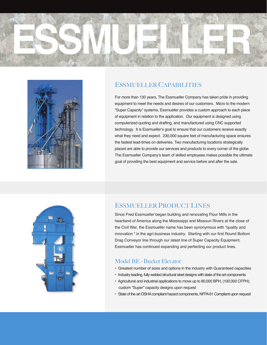



#### ESSMUELLER CAPABILITIES

For more than 130 years, The Essmueller Company has taken pride in providing equipment to meet the needs and desires of our customers. Micro to the modern "Super Capacity" systems, Essmueller provides a custom approach to each piece of equipment in relation to the application. Our equipment is designed using computerized quoting and drafting, and manufactured using CNC supported technology. It is Essmueller's goal to ensure that our customers receive exactly what they need and expect. 230,000 square feet of manufacturing space ensures the fastest lead-times on deliveries. Two manufacturing locations strategically placed are able to provide our services and products to every corner of the globe. The Essmueller Company's team of skilled employees makes possible the ultimate goal of providing the best equipment and service before and after the sale.



#### ESSMUELLER PRODUCT LINES

Since Fred Essmueller began building and renovating Flour Mills in the heartland of America along the Mississippi and Missouri Rivers at the close of the Civil War, the Essmueller name has been synonymous with "quality and innovation " in the agri-business industry. Starting with our first Round Bottom Drag Conveyor line through our latest line of Super Capacity Equipment, Essmueller has continued expanding and perfecting our product lines.

#### Model BE - Bucket Elevator

- Greatest number of sizes and options in the industry with Guaranteed capacities
- Industry leading, fully welded structural steel designs with state of the art components
- Agricultural and industrial applications to move up to 80,000 BPH, (100,000 CFPH); custom "Super" capacity designs upon request
- State of the art OSHA compliant hazard components, NFPA 61 Compliant upon request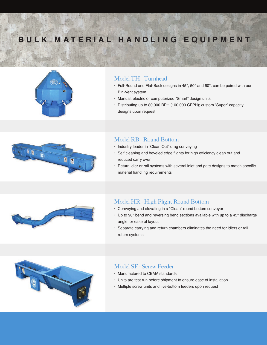### **BULK MATERIAL HANDLING EQUIPMENT**



#### Model TH - Turnhead

- Full-Round and Flat-Back designs in 45°, 50° and 60°, can be paired with our Bin-Vent system
- Manual, electric or computerized "Smart" design units
- Distributing up to 80,000 BPH (100,000 CFPH); custom "Super" capacity designs upon request



#### Model RB - Round Bottom

- Industry leader in "Clean Out" drag conveying
- Self cleaning and beveled edge flights for high efficiency clean out and reduced carry over
- Return idler or rail systems with several inlet and gate designs to match specific material handling requirements



#### Model HR - High Flight Round Bottom

- Conveying and elevating in a "Clean" round bottom conveyor
- Up to 90° bend and reversing bend sections available with up to a 45° discharge angle for ease of layout
- Separate carrying and return chambers eliminates the need for idlers or rail return systems



#### Model SF - Screw Feeder

- Manufactured to CEMA standards
- Units are test run before shipment to ensure ease of installation
- Multiple screw units and live-bottom feeders upon request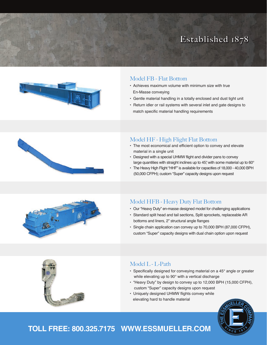#### Established 1878





- Achieves maximum volume with minimum size with true En-Masse conveying
- Gentle material handling in a totally enclosed and dust tight unit
- Return idler or rail systems with several inlet and gate designs to match specific material handling requirements

# 



#### Model HF - High Flight Flat Bottom

- The most economical and efficient option to convey and elevate material in a single unit
- Designed with a special UHMW flight and divider pans to convey large quantities with straight inclines up to 45°, with some material up to 60°
- The Heavy High Flight "HHF" is available for capacities of 18,000 40,000 BPH (50,000 CFPH); custom "Super" capacity designs upon request

#### Model HFB - Heavy Duty Flat Bottom

- Our "Heavy Duty" en-masse designed model for challenging applications
- Standard split head and tail sections, Split sprockets, replaceable AR bottoms and liners, 2" structural angle flanges
- Single chain application can convey up to 70,000 BPH (87,000 CFPH), custom "Super" capacity designs with dual chain option upon request

#### Model L - L-Path

- Specifically designed for conveying material on a 45° angle or greater while elevating up to 90° with a vertical discharge
- "Heavy Duty" by design to convey up to 12,000 BPH (15,000 CFPH), custom "Super" capacity designs upon request
- Uniquely designed UHMW flights convey while elevating hard to handle material



#### **TOLL FREE: 800.325.7175 WWW.ESSMUELLER.COM**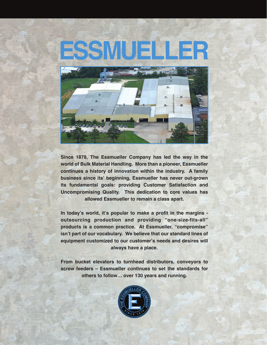## **ESSMUELLER**



**Since 1878, The Essmueller Company has led the way in the world of Bulk Material Handling. More than a pioneer, Essmueller continues a history of innovation within the industry. A family business since its' beginning, Essmueller has never out-grown its fundamental goals: providing Customer Satisfaction and Uncompromising Quality. This dedication to core values has allowed Essmueller to remain a class apart.**

**In today's world, it's popular to make a profit in the margins outsourcing production and providing "one-size-fits-all" products is a common practice. At Essmueller, "compromise" isn't part of our vocabulary. We believe that our standard lines of equipment customized to our customer's needs and desires will always have a place.**

**From bucket elevators to turnhead distributors, conveyors to screw feeders – Essmueller continues to set the standards for others to follow… over 130 years and running.**